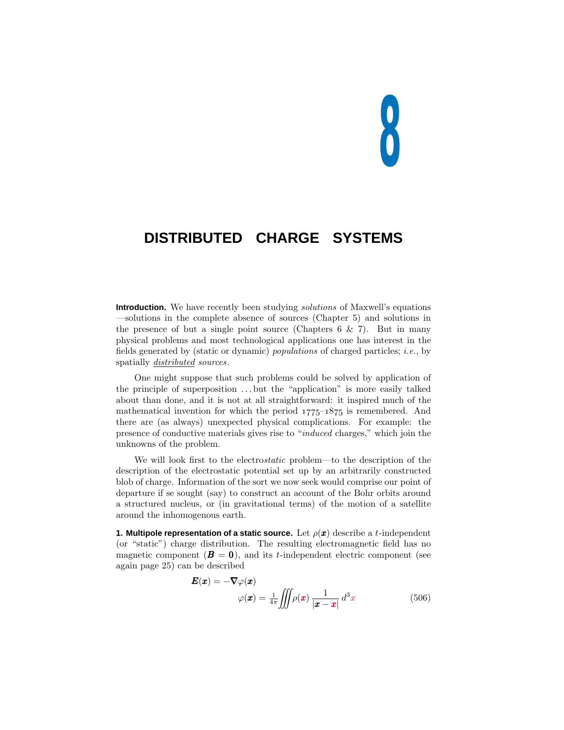# **8**

# **DISTRIBUTED CHARGE SYSTEMS**

**Introduction.** We have recently been studying *solutions* of Maxwell's equations —solutions in the complete absence of sources (Chapter 5)and solutions in the presence of but a single point source (Chapters  $6 \& 7$ ). But in many physical problems and most technological applications one has interest in the fields generated by (static or dynamic) populations of charged particles; i.e., by spatially *distributed sources*.

One might suppose that such problems could be solved by application of the principle of superposition *...* but the "application" is more easily talked about than done, and it is not at all straightforward: it inspired much of the mathematical invention for which the period  $1775-1875$  is remembered. And there are (as always) unexpected physical complications. For example: the presence of conductive materials gives rise to "induced charges," which join the unknowns of the problem.

We will look first to the electrostatic problem—to the description of the description of the electrostatic potential set up by an arbitrarily constructed blob of charge. Information of the sort we now seek would comprise our point of departure if se sought (say) to construct an account of the Bohr orbits around a structured nucleus, or (in gravitational terms) of the motion of a satellite around the inhomogenous earth.

**1. Multipole representation of a static source.** Let  $\rho(\boldsymbol{x})$  describe a *t*-independent (or "static") charge distribution. The resulting electromagnetic field has no magnetic component  $(\mathbf{B} = \mathbf{0})$ , and its *t*-independent electric component (see again page  $25$  can be described

$$
\boldsymbol{E}(\boldsymbol{x}) = -\nabla\varphi(\boldsymbol{x})
$$

$$
\varphi(\boldsymbol{x}) = \frac{1}{4\pi} \iiint \rho(\boldsymbol{x}) \frac{1}{|\boldsymbol{x} - \boldsymbol{x}|} d^3 x
$$
(506)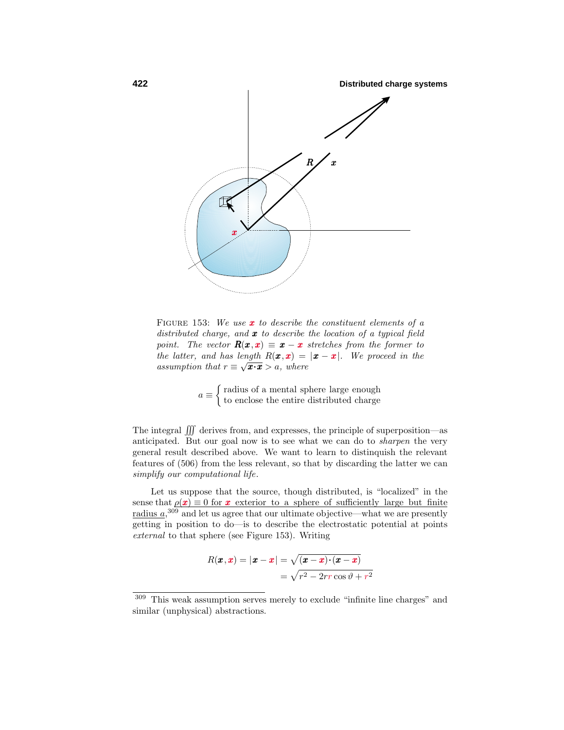

FIGURE 153: We use **x** to describe the constituent elements of a distributed charge, and *x* to describe the location of a typical field point. The vector  $\mathbf{R}(\mathbf{x}, \mathbf{x}) \equiv \mathbf{x} - \mathbf{x}$  stretches from the former to the latter, and has length  $R(x, x) = |x - x|$ . We proceed in the assumption that  $r \equiv \sqrt{x \cdot x} > a$ , where

$$
a \equiv \begin{cases} \text{radius of a mental sphere large enough} \\ \text{to enclose the entire distributed charge} \end{cases}
$$

The integral  $\iiint$  derives from, and expresses, the principle of superposition—as anticipated. But our goal now is to see what we can do to sharpen the very general result described above. We want to learn to distinquish the relevant features of  $(506)$  from the less relevant, so that by discarding the latter we can simplify our computational life.

Let us suppose that the source, though distributed, is "localized" in the sense that  $\rho(x) \equiv 0$  for *x* exterior to a sphere of sufficiently large but finite radius  $a$ <sup>309</sup> and let us agree that our ultimate objective—what we are presently getting in position to do—is to describe the electrostatic potential at points external to that sphere (see Figure 153). Writing

$$
R(\pmb{x}, \pmb{x}) = |\pmb{x} - \pmb{x}| = \sqrt{(\pmb{x} - \pmb{x}) \cdot (\pmb{x} - \pmb{x})}
$$

$$
= \sqrt{r^2 - 2rr \cos \vartheta + r^2}
$$

 $^{309}\,$  This weak assumption serves merely to exclude "infinite line charges" and similar (unphysical) abstractions.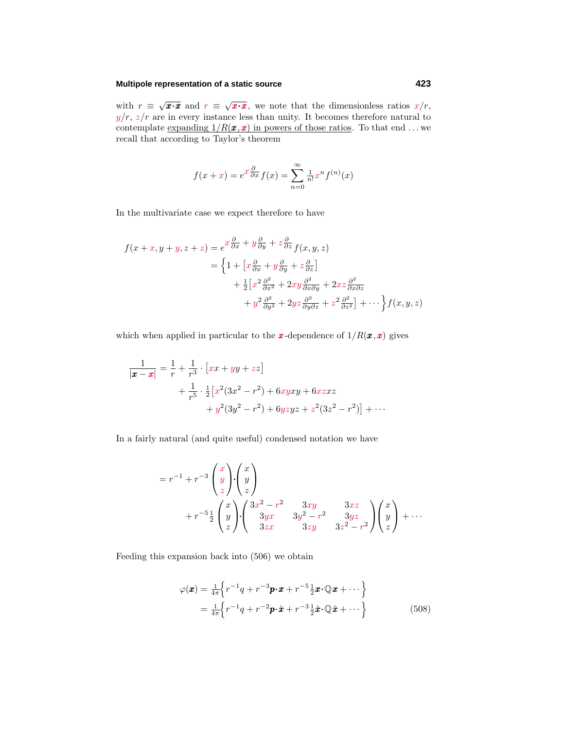## **Multipole representation of a static source 423**

with  $r \equiv \sqrt{x \cdot x}$  and  $r \equiv \sqrt{x \cdot x}$ , we note that the dimensionless ratios  $x/r$ ,  $y/r$ ,  $z/r$  are in every instance less than unity. It becomes therefore natural to contemplate <u>expanding  $1/R(x, x)$  in powers of those ratios</u>. To that end ... we recall that according to Taylor's theorem

$$
f(x+x) = e^{x\frac{\partial}{\partial x}}f(x) = \sum_{n=0}^{\infty} \frac{1}{n!}x^n f^{(n)}(x)
$$

In the multivariate case we expect therefore to have

$$
f(x+x, y+y, z+z) = e^x \frac{\partial}{\partial x} + y \frac{\partial}{\partial y} + z \frac{\partial}{\partial z} f(x, y, z)
$$
  
= 
$$
\left\{ 1 + \left[ x \frac{\partial}{\partial x} + y \frac{\partial}{\partial y} + z \frac{\partial}{\partial z} \right] + \frac{1}{2} \left[ x^2 \frac{\partial^2}{\partial x^2} + 2xy \frac{\partial^2}{\partial x \partial y} + 2xz \frac{\partial^2}{\partial x \partial z} + y^2 \frac{\partial^2}{\partial y^2} + 2yz \frac{\partial^2}{\partial y \partial z} + z^2 \frac{\partial^2}{\partial z^2} \right] + \cdots \right\} f(x, y, z)
$$

which when applied in particular to the **x**-dependence of  $1/R(\mathbf{x}, \mathbf{x})$  gives

$$
\frac{1}{|\pmb{x} - \pmb{x}|} = \frac{1}{r} + \frac{1}{r^3} \cdot [xx + yy + zz] \n+ \frac{1}{r^5} \cdot \frac{1}{2} [x^2 (3x^2 - r^2) + 6xyxy + 6xzxz \n+ y^2 (3y^2 - r^2) + 6yzyz + z^2 (3z^2 - r^2)] + \cdots
$$

In a fairly natural (and quite useful) condensed notation we have

$$
=r^{-1}+r^{-3}\begin{pmatrix}x\\y\\z\end{pmatrix}\begin{pmatrix}x\\y\\z\end{pmatrix}
$$
  
+
$$
r^{-5}\frac{1}{2}\begin{pmatrix}x\\y\\z\end{pmatrix}\begin{pmatrix}3x^2-r^2&3xy&3xz\\3yx&3y^2-r^2&3yz\\3zx&3zy&3z^2-r^2\end{pmatrix}\begin{pmatrix}x\\y\\z\end{pmatrix}+\cdots
$$

Feeding this expansion back into  $(506)$  we obtain

$$
\varphi(\boldsymbol{x}) = \frac{1}{4\pi} \Big\{ r^{-1}q + r^{-3}\boldsymbol{p}\cdot\boldsymbol{x} + r^{-5}\frac{1}{2}\boldsymbol{x}\cdot\mathbb{Q}\boldsymbol{x} + \cdots \Big\}
$$
  
= 
$$
\frac{1}{4\pi} \Big\{ r^{-1}q + r^{-2}\boldsymbol{p}\cdot\hat{\boldsymbol{x}} + r^{-3}\frac{1}{2}\hat{\boldsymbol{x}}\cdot\mathbb{Q}\hat{\boldsymbol{x}} + \cdots \Big\}
$$
(508)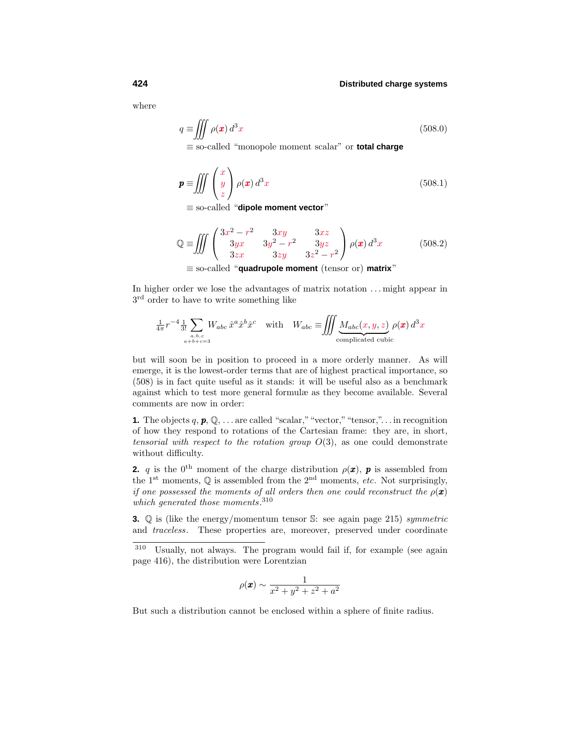where

$$
q \equiv \iiint \rho(\mathbf{x}) d^3 x \tag{508.0}
$$

≡ so-called "monopole moment scalar" or **total charge**

$$
\mathbf{p} \equiv \iiint \begin{pmatrix} x \\ y \\ z \end{pmatrix} \rho(\mathbf{x}) d^3 x \tag{508.1}
$$

≡ so-called "**dipole moment vector**"

$$
\mathbb{Q} \equiv \iiint \begin{pmatrix} 3x^2 - r^2 & 3xy & 3xz \\ 3yx & 3y^2 - r^2 & 3yz \\ 3zx & 3zy & 3z^2 - r^2 \end{pmatrix} \rho(\mathbf{x}) d^3x \tag{508.2}
$$

≡ so-called "**quadrupole moment** (tensor or) **matrix**"

In higher order we lose the advantages of matrix notation *...* might appear in 3rd order to have to write something like

$$
\frac{1}{4\pi}r^{-4}\frac{1}{3!}\sum_{\substack{a,b,c\\a+b+c=3}}W_{abc}\,\hat{x}^a\hat{x}^b\hat{x}^c\quad\text{with}\quad W_{abc}\equiv\iiint\limits_{\text{complicated cubic}}\underbrace{M_{abc}(x,y,z)}_{\text{complicated cubic}}
$$

but will soon be in position to proceed in a more orderly manner. As will emerge, it is the lowest-order terms that are of highest practical importance, so  $(508)$  is in fact quite useful as it stands: it will be useful also as a benchmark against which to test more general formulæ as they become available. Several comments are now in order:

**1.** The objects  $q, p, \mathbb{Q}, \ldots$  are called "scalar," "vector," "tensor,"... in recognition of how they respond to rotations of the Cartesian frame: they are, in short, tensorial with respect to the rotation group *O*(3), as one could demonstrate without difficulty.

**2.** *q* is the 0<sup>th</sup> moment of the charge distribution  $\rho(\boldsymbol{x})$ , *p* is assembled from the 1<sup>st</sup> moments,  $\mathbb{Q}$  is assembled from the 2<sup>nd</sup> moments, *etc*. Not surprisingly, if one possessed the moments of all orders then one could reconstruct the  $\rho(\mathbf{x})$ which generated those moments.<sup>310</sup>

**3.** Q is (like the energy/momentum tensor S: see again page 215) symmetric and traceless. These properties are, moreover, preserved under coordinate

$$
\rho(\pmb{x}) \sim \frac{1}{x^2 + y^2 + z^2 + a^2}
$$

But such a distribution cannot be enclosed within a sphere of finite radius.

<sup>310</sup> Usually, not always. The program would fail if, for example (see again page 416), the distribution were Lorentzian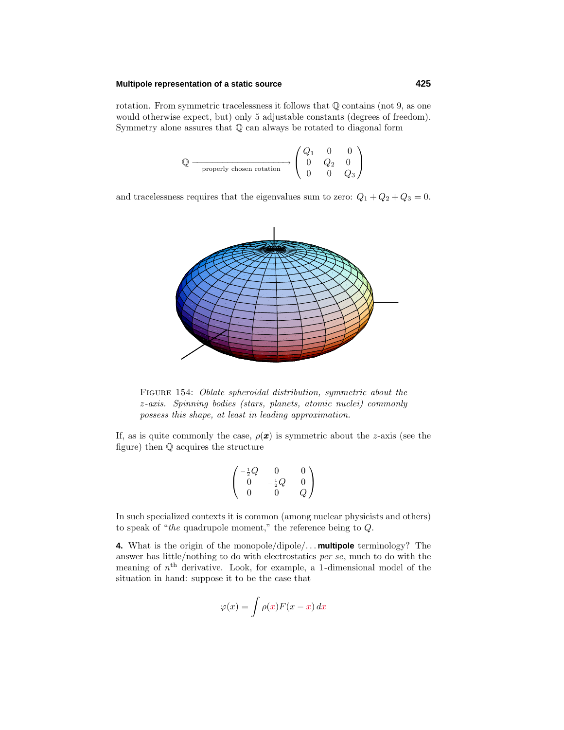### **Multipole representation of a static source 425**

rotation. From symmetric tracelessness it follows that Q contains (not 9, as one would otherwise expect, but) only 5 adjustable constants (degrees of freedom). Symmetry alone assures that Q can always be rotated to diagonal form

$$
\mathbb{Q} \xrightarrow{\hspace{0.5cm}} \text{properly chosen rotation} \longrightarrow \begin{pmatrix} Q_1 & 0 & 0 \\ 0 & Q_2 & 0 \\ 0 & 0 & Q_3 \end{pmatrix}
$$

and tracelessness requires that the eigenvalues sum to zero:  $Q_1 + Q_2 + Q_3 = 0$ .



Figure 154: Oblate spheroidal distribution, symmetric about the *z*-axis. Spinning bodies (stars, planets, atomic nuclei) commonly possess this shape, at least in leading approximation.

If, as is quite commonly the case,  $\rho(x)$  is symmetric about the *z*-axis (see the figure) then  $\mathbb Q$  acquires the structure

$$
\begin{pmatrix} -\frac{1}{2}Q & 0 & 0\\ 0 & -\frac{1}{2}Q & 0\\ 0 & 0 & Q \end{pmatrix}
$$

In such specialized contexts it is common (among nuclear physicists and others) to speak of "the quadrupole moment," the reference being to *Q*.

**4.** What is the origin of the monopole/dipole/*...* **multipole** terminology? The answer has little/nothing to do with electrostatics per se, much to do with the meaning of  $n<sup>th</sup>$  derivative. Look, for example, a 1-dimensional model of the situation in hand: suppose it to be the case that

$$
\varphi(x) = \int \rho(x) F(x - x) \, dx
$$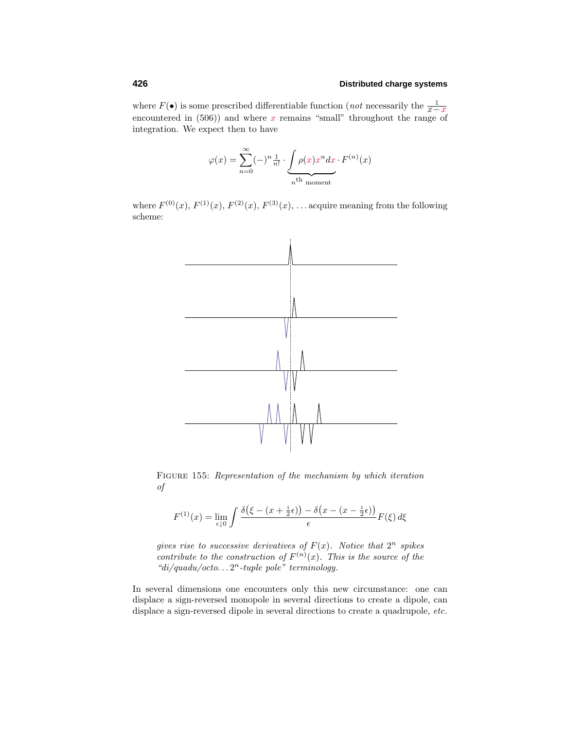where  $F(\bullet)$  is some prescribed differentiable function (*not* necessarily the  $\frac{1}{x-x}$ <sup>*x*</sup> encountered in  $(506)$  and where *x* remains "small" throughout the range of integration. We expect then to have

$$
\varphi(x) = \sum_{n=0}^{\infty} (-)^n \frac{1}{n!} \cdot \underbrace{\int \rho(x) x^n dx}_{n^{\text{th}} \text{ moment}} \cdot F^{(n)}(x)
$$

where  $F^{(0)}(x)$ ,  $F^{(1)}(x)$ ,  $F^{(2)}(x)$ ,  $F^{(3)}(x)$ ,  $\ldots$  acquire meaning from the following scheme:



FIGURE 155: Representation of the mechanism by which iteration of

$$
F^{(1)}(x) = \lim_{\epsilon \downarrow 0} \int \frac{\delta(\xi - (x + \frac{1}{2}\epsilon)) - \delta(x - (x - \frac{1}{2}\epsilon))}{\epsilon} F(\xi) d\xi
$$

gives rise to successive derivatives of  $F(x)$ . Notice that  $2^n$  spikes contribute to the construction of  $F^{(n)}(x)$ . This is the source of the "di/quadu/octo*...* 2*<sup>n</sup>*-tuple pole" terminology.

In several dimensions one encounters only this new circumstance: one can displace a sign-reversed monopole in several directions to create a dipole, can displace a sign-reversed dipole in several directions to create a quadrupole, etc.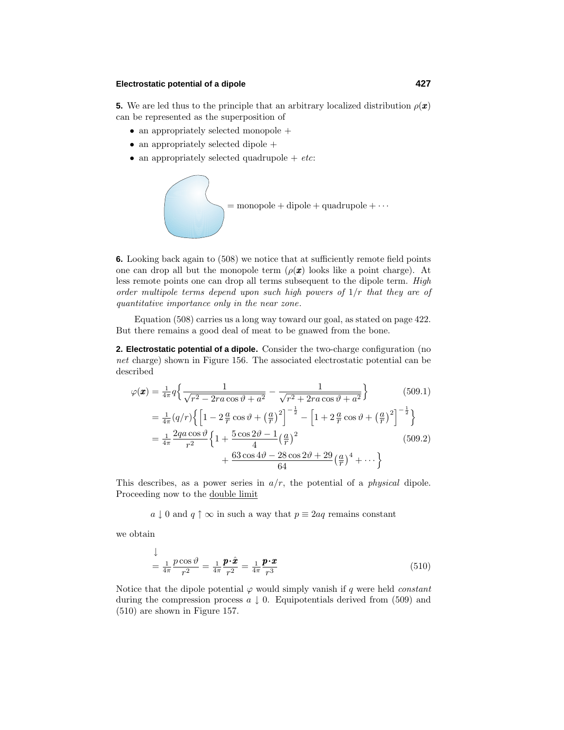### **Electrostatic potential of a dipole 427**

**5.** We are led thus to the principle that an arbitrary localized distribution  $\rho(\boldsymbol{x})$ can be represented as the superposition of

- an appropriately selected monopole +
- an appropriately selected dipole +
- an appropriately selected quadrupole  $+ etc$ :



**6.** Looking back again to (508) we notice that at sufficiently remote field points one can drop all but the monopole term  $(\rho(\mathbf{x}))$  looks like a point charge). At less remote points one can drop all terms subsequent to the dipole term. High order multipole terms depend upon such high powers of 1*/r* that they are of quantitative importance only in the near zone.

Equation  $(508)$  carries us a long way toward our goal, as stated on page 422. But there remains a good deal of meat to be gnawed from the bone.

**2. Electrostatic potential of a dipole.** Consider the two-charge configuration (no net charge) shown in Figure 156. The associated electrostatic potential can be described

$$
\varphi(\mathbf{x}) = \frac{1}{4\pi} q \left\{ \frac{1}{\sqrt{r^2 - 2ra \cos \vartheta + a^2}} - \frac{1}{\sqrt{r^2 + 2ra \cos \vartheta + a^2}} \right\}
$$
(509.1)  
\n
$$
= \frac{1}{4\pi} (q/r) \left\{ \left[ 1 - 2\frac{a}{r} \cos \vartheta + \left(\frac{a}{r}\right)^2 \right]^{-\frac{1}{2}} - \left[ 1 + 2\frac{a}{r} \cos \vartheta + \left(\frac{a}{r}\right)^2 \right]^{-\frac{1}{2}} \right\}
$$
  
\n
$$
= \frac{1}{4\pi} \frac{2qa \cos \vartheta}{r^2} \left\{ 1 + \frac{5 \cos 2\vartheta - 1}{4} \left(\frac{a}{r}\right)^2 + \frac{63 \cos 4\vartheta - 28 \cos 2\vartheta + 29}{64} \left(\frac{a}{r}\right)^4 + \cdots \right\}
$$
(509.2)

This describes, as a power series in  $a/r$ , the potential of a *physical* dipole. Proceeding now to the double limit

 $a \downarrow 0$  and  $q \uparrow \infty$  in such a way that  $p \equiv 2aq$  remains constant

we obtain

$$
\frac{1}{4\pi} \frac{p \cos \vartheta}{r^2} = \frac{1}{4\pi} \frac{\mathbf{p} \cdot \hat{\mathbf{x}}}{r^2} = \frac{1}{4\pi} \frac{\mathbf{p} \cdot \mathbf{x}}{r^3}
$$
\n(510)

Notice that the dipole potential  $\varphi$  would simply vanish if *q* were held *constant* during the compression process  $a \downarrow 0$ . Equipotentials derived from (509) and  $(510)$  are shown in Figure 157.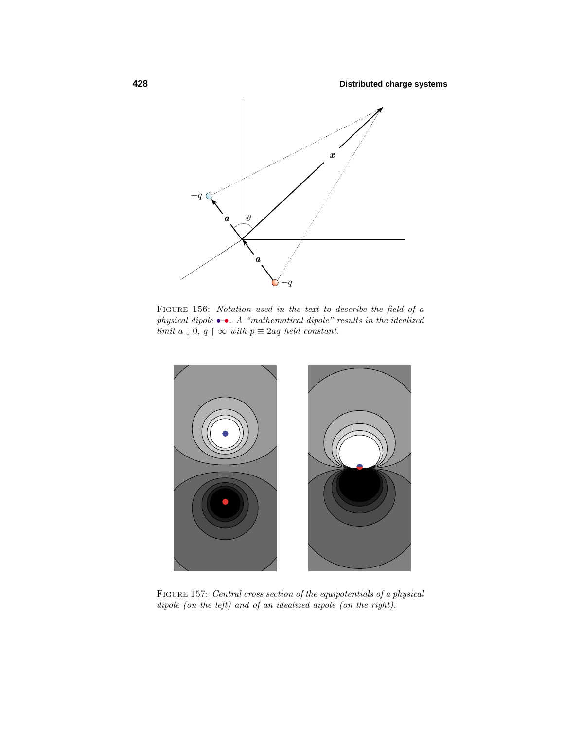

FIGURE 156: Notation used in the text to describe the field of a physical dipole  $\bullet\bullet$ . A "mathematical dipole" results in the idealized limit  $a \downarrow 0$ ,  $q \uparrow \infty$  with  $p \equiv 2aq$  held constant.



Figure 157: Central cross section of the equipotentials of a physical dipole (on the left) and of an idealized dipole (on the right).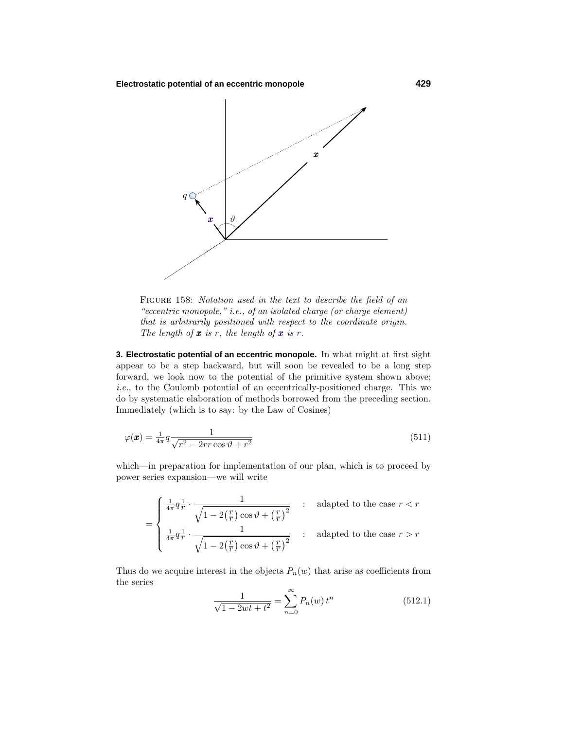**Electrostatic potential of an eccentric monopole 429**



FIGURE 158: Notation used in the text to describe the field of an "eccentric monopole," i.e., of an isolated charge (or charge element) that is arbitrarily positioned with respect to the coordinate origin. The length of  $x$  is  $r$ , the length of  $x$  is  $r$ .

**3. Electrostatic potential of an eccentric monopole.** In what might at first sight appear to be a step backward, but will soon be revealed to be a long step forward, we look now to the potential of the primitive system shown above; i.e., to the Coulomb potential of an eccentrically-positioned charge. This we do by systematic elaboration of methods borrowed from the preceding section. Immediately (which is to say: by the Law of Cosines)

$$
\varphi(\boldsymbol{x}) = \frac{1}{4\pi} q \frac{1}{\sqrt{r^2 - 2rr\cos\vartheta + r^2}}\tag{511}
$$

which—in preparation for implementation of our plan, which is to proceed by power series expansion—we will write

$$
= \begin{cases} \frac{1}{4\pi}q\frac{1}{r} \cdot \frac{1}{\sqrt{1-2(\frac{r}{r})\cos\vartheta+(\frac{r}{r})^2}} & : \text{ adapted to the case } r < r\\ \frac{1}{4\pi}q\frac{1}{r} \cdot \frac{1}{\sqrt{1-2(\frac{r}{r})\cos\vartheta+(\frac{r}{r})^2}} & : \text{ adapted to the case } r > r \end{cases}
$$

Thus do we acquire interest in the objects  $P_n(w)$  that arise as coefficients from the series

$$
\frac{1}{\sqrt{1 - 2wt + t^2}} = \sum_{n=0}^{\infty} P_n(w) t^n
$$
\n(512.1)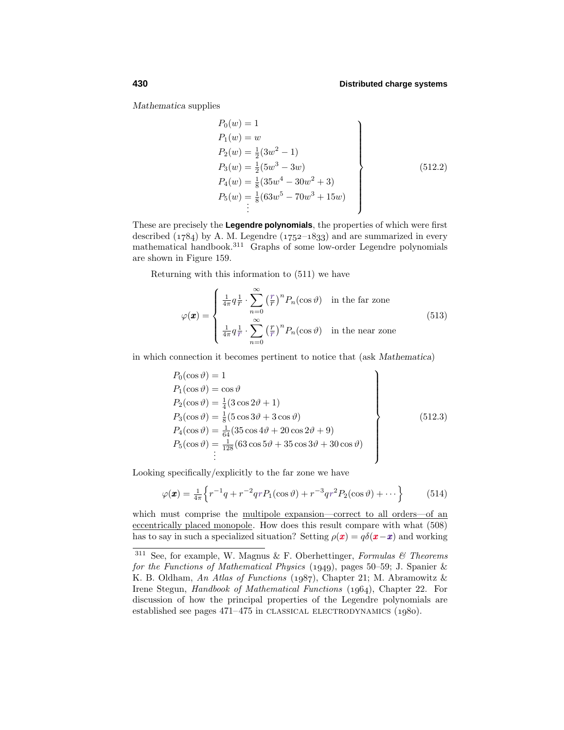*Mathematica* supplies

$$
P_0(w) = 1
$$
  
\n
$$
P_1(w) = w
$$
  
\n
$$
P_2(w) = \frac{1}{2}(3w^2 - 1)
$$
  
\n
$$
P_3(w) = \frac{1}{2}(5w^3 - 3w)
$$
  
\n
$$
P_4(w) = \frac{1}{8}(35w^4 - 30w^2 + 3)
$$
  
\n
$$
P_5(w) = \frac{1}{8}(63w^5 - 70w^3 + 15w)
$$
  
\n
$$
\vdots
$$
\n(512.2)

These are precisely the **Legendre polynomials**, the properties of which were first described  $(1784)$  by A. M. Legendre  $(1752-1833)$  and are summarized in every mathematical handbook.<sup>311</sup> Graphs of some low-order Legendre polynomials are shown in Figure 159.

Returning with this information to  $(511)$  we have

$$
\varphi(\boldsymbol{x}) = \begin{cases} \frac{1}{4\pi} q \frac{1}{r} \cdot \sum_{n=0}^{\infty} \left(\frac{r}{r}\right)^n P_n(\cos \vartheta) & \text{in the far zone} \\ \frac{1}{4\pi} q \frac{1}{r} \cdot \sum_{n=0}^{\infty} \left(\frac{r}{r}\right)^n P_n(\cos \vartheta) & \text{in the near zone} \end{cases}
$$
(513)

in which connection it becomes pertinent to notice that (ask *Mathematica*)

$$
P_0(\cos \vartheta) = 1 \n P_1(\cos \vartheta) = \cos \vartheta \n P_2(\cos \vartheta) = \frac{1}{4}(3 \cos 2\vartheta + 1) \n P_3(\cos \vartheta) = \frac{1}{8}(5 \cos 3\vartheta + 3 \cos \vartheta) \n P_4(\cos \vartheta) = \frac{1}{64}(35 \cos 4\vartheta + 20 \cos 2\vartheta + 9) \n P_5(\cos \vartheta) = \frac{1}{128}(63 \cos 5\vartheta + 35 \cos 3\vartheta + 30 \cos \vartheta)
$$
\n(512.3)

Looking specifically/explicitly to the far zone we have

$$
\varphi(\pmb{x}) = \frac{1}{4\pi} \left\{ r^{-1}q + r^{-2}qrP_1(\cos\vartheta) + r^{-3}qr^2P_2(\cos\vartheta) + \cdots \right\}
$$
(514)

which must comprise the multipole expansion—correct to all orders—of an eccentrically placed monopole. How does this result compare with what (508) has to say in such a specialized situation? Setting  $\rho(\mathbf{x}) = q\delta(\mathbf{x} - \mathbf{x})$  and working

 $311$  See, for example, W. Magnus & F. Oberhettinger, Formulas & Theorems for the Functions of Mathematical Physics (1949), pages 50–59; J. Spanier & K. B. Oldham, An Atlas of Functions (1987), Chapter 21; M. Abramowitz & Irene Stegun, *Handbook of Mathematical Functions* (1964), Chapter 22. For discussion of how the principal properties of the Legendre polynomials are established see pages  $471-475$  in CLASSICAL ELECTRODYNAMICS  $(1980)$ .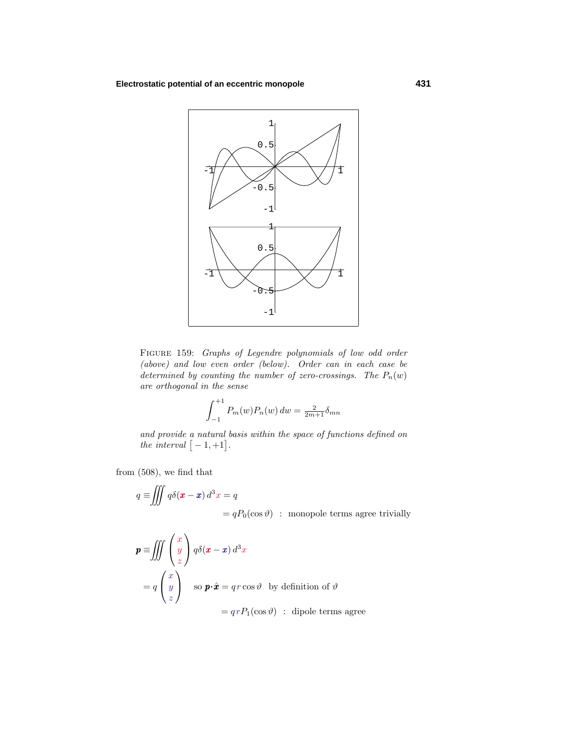# **Electrostatic potential of an eccentric monopole 431**



Figure 159: Graphs of Legendre polynomials of low odd order (above) and low even order (below). Order can in each case be determined by counting the number of zero-crossings. The  $P_n(w)$ are orthogonal in the sense

$$
\int_{-1}^{+1} P_m(w) P_n(w) \, dw = \frac{2}{2m+1} \delta_{mn}
$$

and provide a natural basis within the space of functions defined on the interval  $[-1, +1]$ .

from (508), we find that

$$
q \equiv \iiint q\delta(\mathbf{x} - \mathbf{x}) d^3 x = q
$$
  
=  $qP_0(\cos \theta)$ : monopole terms agree trivially

$$
\mathbf{p} \equiv \iiint \begin{pmatrix} x \\ y \\ z \end{pmatrix} q \delta(\mathbf{x} - \mathbf{x}) d^3 x
$$
  
=  $q \begin{pmatrix} x \\ y \\ z \end{pmatrix}$  so  $\mathbf{p} \cdot \hat{\mathbf{x}} = qr \cos \vartheta$  by definition of  $\vartheta$   
=  $qrP_1(\cos \vartheta)$ : dipole terms agree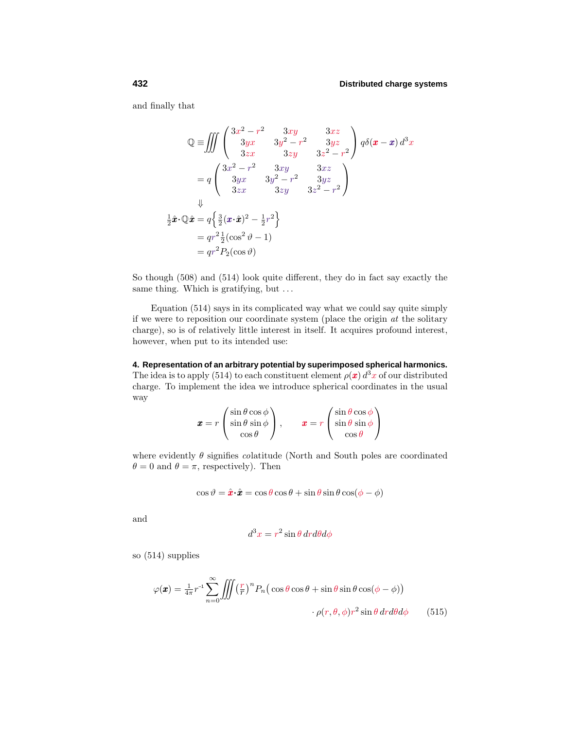and finally that

$$
\mathbb{Q} = \iiint \begin{pmatrix} 3x^2 - r^2 & 3xy & 3xz \\ 3yx & 3y^2 - r^2 & 3yz \\ 3zx & 3zy & 3z^2 - r^2 \end{pmatrix} q \delta(\mathbf{x} - \mathbf{x}) d^3x
$$
  
\n
$$
= q \begin{pmatrix} 3x^2 - r^2 & 3xy & 3xz \\ 3yx & 3y^2 - r^2 & 3yz \\ 3zx & 3zy & 3z^2 - r^2 \end{pmatrix}
$$
  
\n
$$
\downarrow
$$
  
\n
$$
\frac{1}{2}\hat{\mathbf{x}} \cdot \mathbb{Q} \hat{\mathbf{x}} = q \left\{ \frac{3}{2}(\mathbf{x} \cdot \hat{\mathbf{x}})^2 - \frac{1}{2}r^2 \right\}
$$
  
\n
$$
= qr^2 \frac{1}{2}(\cos^2 \vartheta - 1)
$$
  
\n
$$
= qr^2 P_2(\cos \vartheta)
$$

So though  $(508)$  and  $(514)$  look quite different, they do in fact say exactly the same thing. Which is gratifying, but *...*

Equation  $(514)$  says in its complicated way what we could say quite simply if we were to reposition our coordinate system (place the origin at the solitary charge), so is of relatively little interest in itself. It acquires profound interest, however, when put to its intended use:

**4. Representation of an arbitrary potential by superimposed spherical harmonics.** The idea is to apply (514) to each constituent element  $\rho(\mathbf{x}) d^3x$  of our distributed charge. To implement the idea we introduce spherical coordinates in the usual way

$$
\boldsymbol{x} = r \begin{pmatrix} \sin \theta \cos \phi \\ \sin \theta \sin \phi \\ \cos \theta \end{pmatrix}, \qquad \boldsymbol{x} = r \begin{pmatrix} \sin \theta \cos \phi \\ \sin \theta \sin \phi \\ \cos \theta \end{pmatrix}
$$

where evidently  $\theta$  signifies *colatitude* (North and South poles are coordinated  $\theta = 0$  and  $\theta = \pi$ , respectively). Then

$$
\cos \vartheta = \hat{\mathbf{x}} \cdot \hat{\mathbf{z}} = \cos \theta \cos \theta + \sin \theta \sin \theta \cos(\phi - \phi)
$$

and

$$
d^3x = r^2 \sin\theta \, dr d\theta d\phi
$$

so  $(514)$  supplies

$$
\varphi(\boldsymbol{x}) = \frac{1}{4\pi} r^{-1} \sum_{n=0}^{\infty} \iiint \left(\frac{r}{r}\right)^n P_n\left(\cos\theta\cos\theta + \sin\theta\sin\theta\cos(\phi - \phi)\right) \cdot \rho(r, \theta, \phi) r^2 \sin\theta \, dr d\theta d\phi \qquad (515)
$$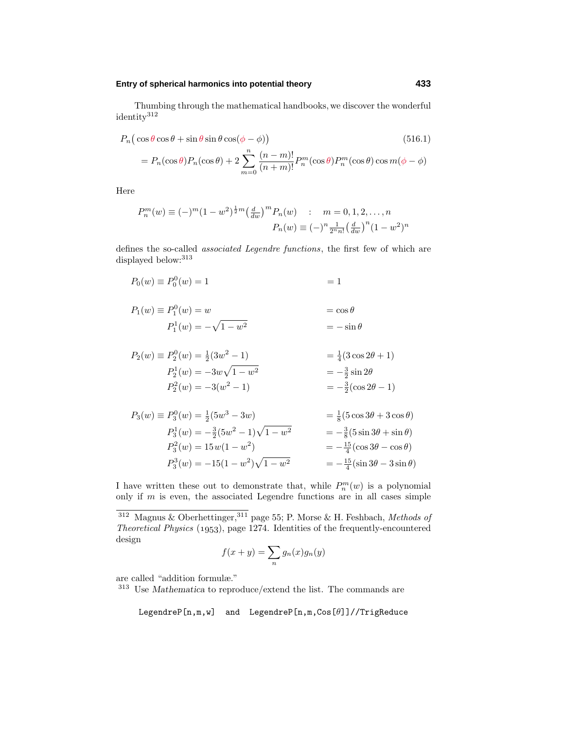**Entry of spherical harmonics into potential theory 433**

Thumbing through the mathematical handbooks, we discover the wonderful identity<sup>312</sup>

$$
P_n\left(\cos\theta\cos\theta + \sin\theta\sin\theta\cos(\phi - \phi)\right)
$$
\n
$$
= P_n(\cos\theta)P_n(\cos\theta) + 2\sum_{n=0}^n \frac{(n-m)!}{(n+m)!} P_n^m(\cos\theta)P_n^m(\cos\theta)\cos m(\phi - \phi)
$$
\n(516.1)

Here

$$
P_n^m(w) \equiv (-)^m (1 - w^2)^{\frac{1}{2}m} \left(\frac{d}{dw}\right)^m P_n(w) \quad : \quad m = 0, 1, 2, \dots, n
$$

$$
P_n(w) \equiv (-)^n \frac{1}{2^n n!} \left(\frac{d}{dw}\right)^n (1 - w^2)^n
$$

defines the so-called associated Legendre functions, the first few of which are displayed below:<sup>313</sup>

$$
P_0(w) \equiv P_0^0(w) = 1 \qquad \qquad = 1
$$

*m*=0

$$
P_1(w) \equiv P_1^0(w) = w
$$
  

$$
P_1^1(w) = -\sqrt{1 - w^2}
$$
  

$$
= -\sin \theta
$$

$$
P_2(w) \equiv P_2^0(w) = \frac{1}{2}(3w^2 - 1) = \frac{1}{4}(3\cos 2\theta + 1)
$$
  
\n
$$
P_2^1(w) = -3w\sqrt{1 - w^2} = -\frac{3}{2}\sin 2\theta
$$
  
\n
$$
P_2^2(w) = -3(w^2 - 1) = -\frac{3}{2}(\cos 2\theta - 1)
$$

$$
P_3(w) \equiv P_3^0(w) = \frac{1}{2}(5w^3 - 3w) = \frac{1}{8}(5\cos 3\theta + 3\cos \theta)
$$
  
\n
$$
P_3^1(w) = -\frac{3}{2}(5w^2 - 1)\sqrt{1 - w^2} = -\frac{3}{8}(5\sin 3\theta + \sin \theta)
$$
  
\n
$$
P_3^2(w) = 15w(1 - w^2) = -\frac{15}{4}(\cos 3\theta - \cos \theta)
$$
  
\n
$$
P_3^3(w) = -15(1 - w^2)\sqrt{1 - w^2} = -\frac{15}{4}(\sin 3\theta - 3\sin \theta)
$$

I have written these out to demonstrate that, while  $P_n^m(w)$  is a polynomial only if *m* is even, the associated Legendre functions are in all cases simple

$$
f(x+y) = \sum_{n} g_n(x)g_n(y)
$$

are called "addition formulæ."

<sup>313</sup> Use *Mathematica* to reproduce/extend the list. The commands are

LegendreP[n,m,w] and LegendreP[n,m,Cos[*θ*]]//TrigReduce

 $^{312}$  Magnus & Oberhettinger,  $^{311}$  page 55; P. Morse & H. Feshbach,  $Methods$  of Theoretical Physics  $(1953)$ , page 1274. Identities of the frequently-encountered design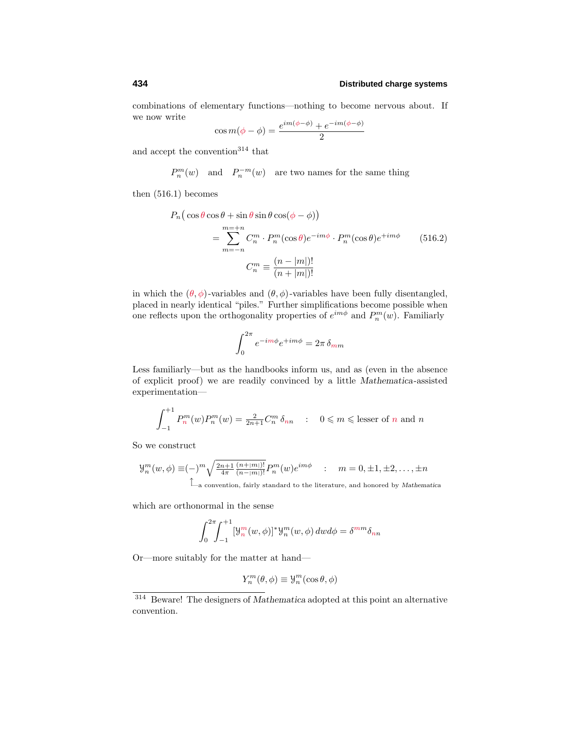combinations of elementary functions—nothing to become nervous about. If we now write

$$
\cos m(\phi - \phi) = \frac{e^{im(\phi - \phi)} + e^{-im(\phi - \phi)}}{2}
$$

and accept the convention<sup>314</sup> that

 $P_n^m(w)$  and  $P_n^{-m}(w)$  are two names for the same thing

then  $(516.1)$  becomes

$$
P_n\left(\cos\theta\cos\theta + \sin\theta\sin\theta\cos(\phi - \phi)\right)
$$
  
= 
$$
\sum_{m=-n}^{m=-n} C_n^m \cdot P_n^m(\cos\theta)e^{-im\phi} \cdot P_n^m(\cos\theta)e^{+im\phi}
$$
 (516.2)  

$$
C_n^m \equiv \frac{(n-|m|)!}{(n+|m|)!}
$$

in which the  $(\theta, \phi)$ -variables and  $(\theta, \phi)$ -variables have been fully disentangled, placed in nearly identical "piles." Further simplifications become possible when one reflects upon the orthogonality properties of  $e^{im\phi}$  and  $P_n^m(w)$ . Familiarly

$$
\int_0^{2\pi} e^{-im\phi} e^{+im\phi} = 2\pi \, \delta_{mm}
$$

Less familiarly—but as the handbooks inform us, and as (even in the absence of explicit proof) we are readily convinced by a little *Mathematica*-assisted experimentation—

$$
\int_{-1}^{+1} P_n^m(w) P_n^m(w) = \frac{2}{2n+1} C_n^m \delta_{nn} \quad : \quad 0 \leq m \leq \text{lesser of } n \text{ and } n
$$

So we construct

$$
\mathcal{Y}_n^m(w,\phi) \equiv (-)^m \sqrt{\frac{2n+1}{4\pi} \frac{(n+|m|)!}{(n-|m|)!}} P_n^m(w) e^{im\phi} \quad : \quad m = 0, \pm 1, \pm 2, \dots, \pm n
$$
  

$$
\mathcal{L}_a
$$
 convention, fairly standard to the literature, and honored by Mathematica

which are orthonormal in the sense

$$
\int_0^{2\pi} \int_{-1}^{+1} [\mathcal{Y}_n^m(w,\phi)]^* \mathcal{Y}_n^m(w,\phi) \, dw d\phi = \delta^{mm} \delta_{nn}
$$

Or—more suitably for the matter at hand—

$$
Y_n^m(\theta,\phi)\equiv\mathcal{Y}_n^m(\cos\theta,\phi)
$$

<sup>314</sup> Beware! The designers of *Mathematica* adopted at this point an alternative convention.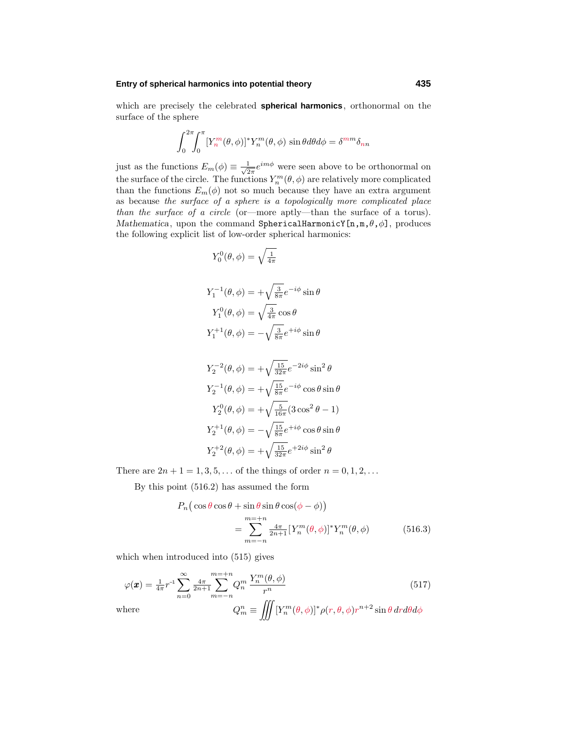### **Entry of spherical harmonics into potential theory 435**

which are precisely the celebrated **spherical harmonics**, orthonormal on the surface of the sphere

$$
\int_0^{2\pi} \int_0^{\pi} [Y_n^m(\theta, \phi)]^* Y_n^m(\theta, \phi) \sin \theta d\theta d\phi = \delta^{mm} \delta_{nn}
$$

just as the functions  $E_m(\phi) \equiv \frac{1}{\sqrt{2\pi}} e^{im\phi}$  were seen above to be orthonormal on the surface of the circle. The functions  $Y_n^m(\theta, \phi)$  are relatively more complicated than the functions  $E_m(\phi)$  not so much because they have an extra argument as because the surface of a sphere is a topologically more complicated place than the surface of a circle (or—more aptly—than the surface of a torus). *Mathematica*, upon the command SphericalHarmonicY[n,m,*θ*,*φ*], produces the following explicit list of low-order spherical harmonics:

$$
Y_0^0(\theta,\phi) = \sqrt{\tfrac{1}{4\pi}}
$$

$$
Y_1^{-1}(\theta, \phi) = +\sqrt{\frac{3}{8\pi}} e^{-i\phi} \sin \theta
$$
  

$$
Y_1^0(\theta, \phi) = \sqrt{\frac{3}{4\pi}} \cos \theta
$$
  

$$
Y_1^{+1}(\theta, \phi) = -\sqrt{\frac{3}{8\pi}} e^{+i\phi} \sin \theta
$$

$$
Y_2^{-2}(\theta, \phi) = +\sqrt{\frac{15}{32\pi}} e^{-2i\phi} \sin^2 \theta
$$
  
\n
$$
Y_2^{-1}(\theta, \phi) = +\sqrt{\frac{15}{8\pi}} e^{-i\phi} \cos \theta \sin \theta
$$
  
\n
$$
Y_2^{0}(\theta, \phi) = +\sqrt{\frac{5}{16\pi}} (3 \cos^2 \theta - 1)
$$
  
\n
$$
Y_2^{+1}(\theta, \phi) = -\sqrt{\frac{15}{8\pi}} e^{+i\phi} \cos \theta \sin \theta
$$
  
\n
$$
Y_2^{+2}(\theta, \phi) = +\sqrt{\frac{15}{32\pi}} e^{+2i\phi} \sin^2 \theta
$$

There are  $2n + 1 = 1, 3, 5, \ldots$  of the things of order  $n = 0, 1, 2, \ldots$ 

By this point  $(516.2)$  has assumed the form

$$
P_n\left(\cos\theta\cos\theta + \sin\theta\sin\theta\cos(\phi - \phi)\right)
$$
  
= 
$$
\sum_{m=-n}^{m=-n} \frac{4\pi}{2n+1} [Y_n^m(\theta, \phi)]^* Y_n^m(\theta, \phi)
$$
 (516.3)

which when introduced into  $(515)$  gives

$$
\varphi(\boldsymbol{x}) = \frac{1}{4\pi} r^{-1} \sum_{n=0}^{\infty} \frac{4\pi}{2n+1} \sum_{m=-n}^{m=-n} Q_n^m \frac{Y_n^m(\theta, \phi)}{r^n}
$$
(517)  
where  

$$
Q_m^n \equiv \iiint \left[ Y_n^m(\theta, \phi) \right]^* \rho(r, \theta, \phi) r^{n+2} \sin \theta \, dr d\theta d\phi
$$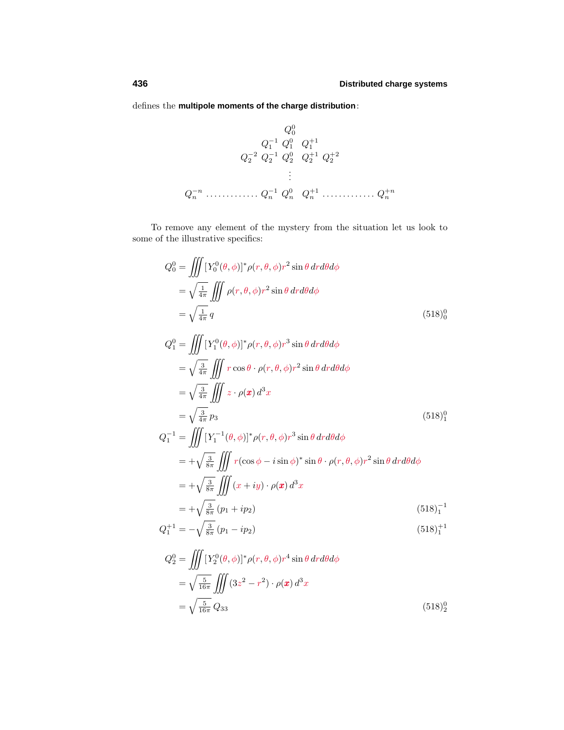defines the **multipole moments of the charge distribution**:

$$
Q_0^0
$$
  
\n
$$
Q_1^{-1} Q_1^0 Q_1^{+1}
$$
  
\n
$$
Q_2^{-2} Q_2^{-1} Q_2^0 Q_2^{+1} Q_2^{+2}
$$
  
\n
$$
\vdots
$$
  
\n
$$
Q_n^{-n} \dots \dots \dots Q_n^{-1} Q_n^0 Q_n^{+1} \dots \dots \dots Q_n^{+n}
$$

To remove any element of the mystery from the situation let us look to some of the illustrative specifics:

$$
Q_0^0 = \iiint \left[ Y_0^0(\theta, \phi) \right]^* \rho(r, \theta, \phi) r^2 \sin \theta \, dr d\theta d\phi
$$
  
=  $\sqrt{\frac{1}{4\pi}} \iiint \rho(r, \theta, \phi) r^2 \sin \theta \, dr d\theta d\phi$   
=  $\sqrt{\frac{1}{4\pi}} q$  (518)<sup>0</sup>

$$
Q_1^0 = \iiint \left[ Y_1^0(\theta, \phi) \right]^* \rho(r, \theta, \phi) r^3 \sin \theta \, dr d\theta d\phi
$$
  
\n
$$
= \sqrt{\frac{3}{4\pi}} \iiint r \cos \theta \cdot \rho(r, \theta, \phi) r^2 \sin \theta \, dr d\theta d\phi
$$
  
\n
$$
= \sqrt{\frac{3}{4\pi}} \iiint z \cdot \rho(x) d^3x
$$
  
\n
$$
= \sqrt{\frac{3}{4\pi}} p_3
$$
  
\n
$$
Q_1^{-1} = \iiint \left[ Y_1^{-1}(\theta, \phi) \right]^* \rho(r, \theta, \phi) r^3 \sin \theta \, dr d\theta d\phi
$$
  
\n
$$
= + \sqrt{\frac{3}{8\pi}} \iiint r(\cos \phi - i \sin \phi)^* \sin \theta \cdot \rho(r, \theta, \phi) r^2 \sin \theta \, dr d\theta d\phi
$$
  
\n
$$
= + \sqrt{\frac{3}{8\pi}} \iiint (x + iy) \cdot \rho(x) d^3x
$$
  
\n
$$
= + \sqrt{\frac{3}{8\pi}} (p_1 + ip_2)
$$
  
\n
$$
Q_1^{-1} = \sqrt{\frac{3}{8\pi}} (p_1 + ip_2)
$$
  
\n(518)<sub>1</sub><sup>-1</sup>

$$
Q_1^{+1} = -\sqrt{\frac{3}{8\pi}} \left( p_1 - ip_2 \right) \tag{518}_1^{+1}
$$

$$
Q_2^0 = \iiint \left[ Y_2^0(\theta, \phi) \right]^* \rho(r, \theta, \phi) r^4 \sin \theta \, dr d\theta d\phi
$$
  
=  $\sqrt{\frac{5}{16\pi}} \iiint \left( 3z^2 - r^2 \right) \cdot \rho(\mathbf{x}) d^3 x$   
=  $\sqrt{\frac{5}{16\pi}} Q_{33}$  (518)<sup>0</sup>/<sub>2</sub>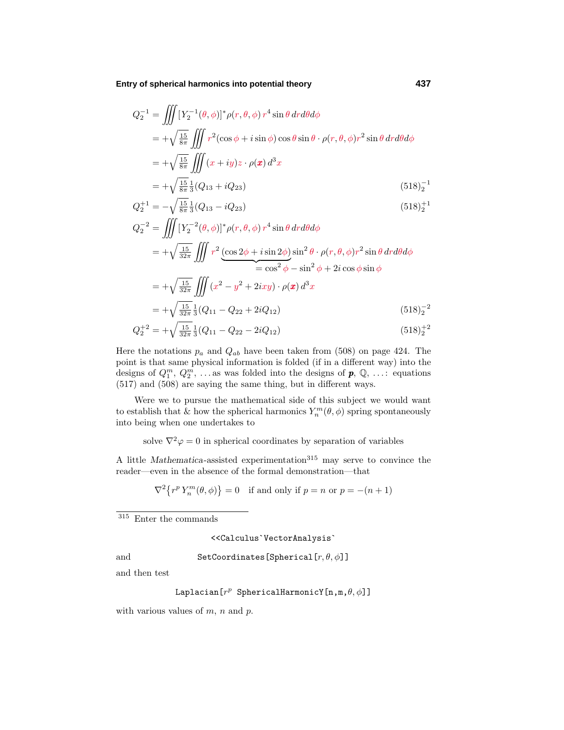**Entry of spherical harmonics into potential theory 437**

$$
Q_2^{-1} = \iiint \left[ Y_2^{-1}(\theta, \phi) \right]^* \rho(r, \theta, \phi) r^4 \sin \theta \, dr d\theta d\phi
$$
  
=  $+\sqrt{\frac{15}{8\pi}} \iiint r^2 (\cos \phi + i \sin \phi) \cos \theta \sin \theta \cdot \rho(r, \theta, \phi) r^2 \sin \theta \, dr d\theta d\phi$   
=  $+\sqrt{\frac{15}{8\pi}} \iiint (x + iy) z \cdot \rho(\mathbf{x}) d^3 x$   
=  $+\sqrt{\frac{15}{8\pi}} \frac{1}{3} (Q_{13} + i Q_{23})$  (518)<sub>2</sub><sup>-1</sup>

$$
Q_2^{+1} = -\sqrt{\frac{15}{8\pi}} \frac{1}{3} (Q_{13} - i Q_{23})
$$
\n
$$
(518)_2^{+1}
$$

$$
Q_2^{-2} = \iiint \left[ Y_2^{-2}(\theta, \phi) \right]^* \rho(r, \theta, \phi) r^4 \sin \theta \, dr d\theta d\phi
$$
  
=  $+\sqrt{\frac{15}{32\pi}} \iiint r^2 \underbrace{(\cos 2\phi + i \sin 2\phi)}_{=\cos^2 \phi - \sin^2 \phi + 2i \cos \phi \sin \phi} \sin^2 \theta \cdot \rho(r, \theta, \phi) r^2 \sin \theta \, dr d\theta d\phi$   
=  $+\sqrt{\frac{15}{32\pi}} \iiint (x^2 - y^2 + 2ixy) \cdot \rho(\mathbf{x}) d^3 x$   
=  $+\sqrt{\frac{15}{32\pi}} \frac{1}{3} (Q_{11} - Q_{22} + 2iQ_{12})$  (518)<sup>-2</sup>  
 $Q_2^{+2} = +\sqrt{\frac{15}{32\pi}} \frac{1}{3} (Q_{11} - Q_{22} - 2iQ_{12})$  (518)<sup>+2</sup>

$$
Q_2^{+2} = +\sqrt{\frac{15}{32\pi}} \frac{1}{3} (Q_{11} - Q_{22} - 2iQ_{12})
$$
\n(518)<sub>2</sub><sup>+2</sup>

\nre the notations *n*, and *O<sub>1</sub>*, have been taken from (508) on page 424. The

Here the notations  $p_a$  and  $Q_{ab}$  have been taken from (508) on page 424. The point is that same physical information is folded (if in a different way) into the designs of  $Q_1^m$ ,  $Q_2^m$ ,  $\dots$  as was folded into the designs of  $p$ ,  $\mathbb{Q}$ ,  $\dots$ : equations (517) and (508) are saying the same thing, but in different ways.

Were we to pursue the mathematical side of this subject we would want to establish that & how the spherical harmonics  $Y_n^m(\theta, \phi)$  spring spontaneously into being when one undertakes to

solve  $\nabla^2 \varphi = 0$  in spherical coordinates by separation of variables

A little *Mathematica*-assisted experimentation<sup>315</sup> may serve to convince the reader—even in the absence of the formal demonstration—that

$$
\nabla^2 \{ r^p Y_n^m(\theta, \phi) \} = 0 \quad \text{if and only if } p = n \text{ or } p = -(n+1)
$$

 $315$  Enter the commands

<<Calculus`VectorAnalysis`

and SetCoordinates[Spherical[*r, θ, φ*]]

and then test

Laplacian[*r<sup>p</sup>* SphericalHarmonicY[n,m,*θ, φ*]]

with various values of *m*, *n* and *p*.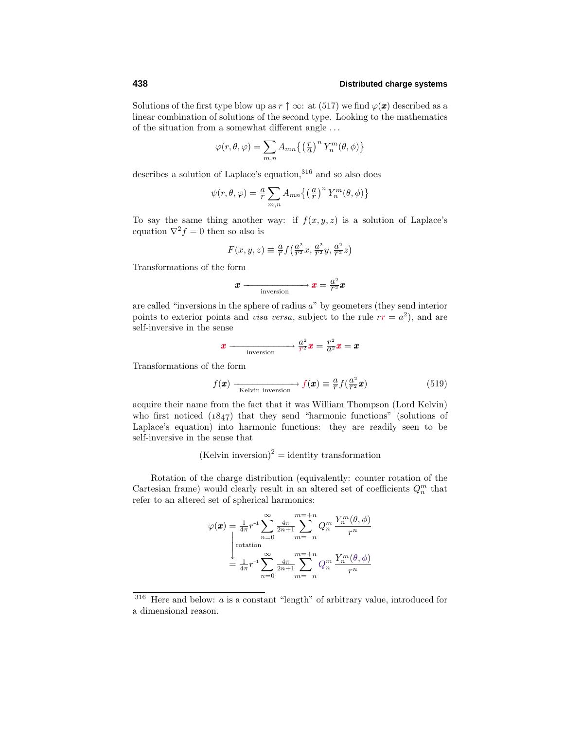Solutions of the first type blow up as  $r \uparrow \infty$ : at (517) we find  $\varphi(\mathbf{x})$  described as a linear combination of solutions of the second type. Looking to the mathematics of the situation from a somewhat different angle *...*

$$
\varphi(r,\theta,\varphi) = \sum_{m,n} A_{mn} \left\{ \left(\frac{r}{a}\right)^n Y_n^m(\theta,\phi) \right\}
$$

describes a solution of Laplace's equation,<sup>316</sup> and so also does

$$
\psi(r,\theta,\varphi) = \frac{a}{r} \sum_{m,n} A_{mn} \left\{ \left(\frac{a}{r}\right)^n Y_n^m(\theta,\phi) \right\}
$$

To say the same thing another way: if  $f(x, y, z)$  is a solution of Laplace's equation  $\nabla^2 f = 0$  then so also is

$$
F(x,y,z)\equiv \tfrac{a}{r}f\big(\tfrac{a^2}{r^2}x,\tfrac{a^2}{r^2}y,\tfrac{a^2}{r^2}z\big)
$$

Transformations of the form

$$
x \xrightarrow{\text{inversion}} x = \frac{a^2}{r^2}x
$$

are called "inversions in the sphere of radius *a*" by geometers (they send interior points to exterior points and *visa versa*, subject to the rule  $rr = a^2$ , and are self-inversive in the sense

$$
x \longrightarrow \frac{a^2}{r^2}x = \frac{r^2}{a^2}x = x
$$

Transformations of the form

$$
f(\mathbf{x}) \xrightarrow[\text{Kelvin inversion}]{} f(\mathbf{x}) \equiv \frac{a}{r} f(\frac{a^2}{r^2} \mathbf{x})
$$
\n(519)

acquire their name from the fact that it was William Thompson (Lord Kelvin) who first noticed  $(1847)$  that they send "harmonic functions" (solutions of Laplace's equation) into harmonic functions: they are readily seen to be self-inversive in the sense that

 $(Kelvin inversion)^2 = identity transformation$ 

Rotation of the charge distribution (equivalently: counter rotation of the Cartesian frame) would clearly result in an altered set of coefficients  $Q_n^m$  that refer to an altered set of spherical harmonics:

$$
\varphi(\boldsymbol{x}) = \frac{1}{4\pi} r^{-1} \sum_{n=0}^{\infty} \frac{4\pi}{2n+1} \sum_{m=-n}^{m=-n} Q_n^m \frac{Y_n^m(\theta, \phi)}{r^n}
$$

$$
= \frac{1}{4\pi} r^{-1} \sum_{n=0}^{\infty} \frac{4\pi}{2n+1} \sum_{m=-n}^{m=-n} Q_n^m \frac{Y_n^m(\theta, \phi)}{r^n}
$$

<sup>&</sup>lt;sup>316</sup> Here and below: *a* is a constant "length" of arbitrary value, introduced for a dimensional reason.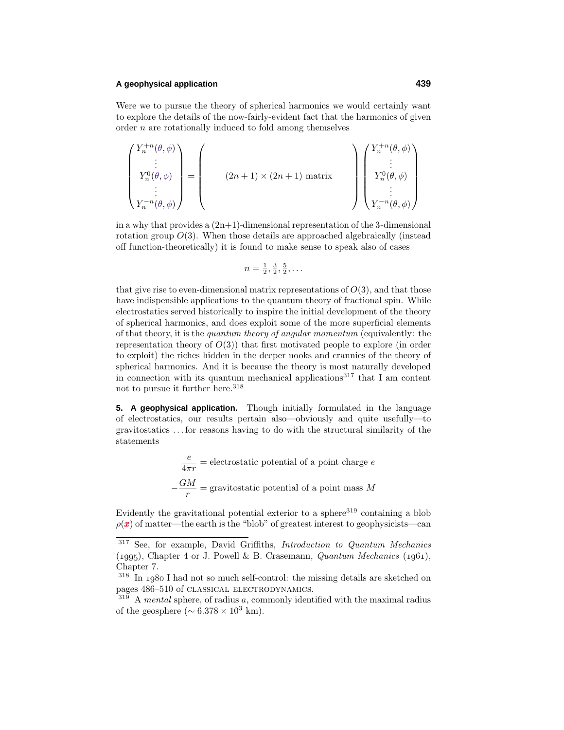### **A geophysical application 439**

Were we to pursue the theory of spherical harmonics we would certainly want to explore the details of the now-fairly-evident fact that the harmonics of given order *n* are rotationally induced to fold among themselves

$$
\begin{pmatrix} Y_n^{+n}(\theta,\phi) \\ \vdots \\ Y_n^{0}(\theta,\phi) \\ \vdots \\ Y_n^{-n}(\theta,\phi) \end{pmatrix} = \begin{pmatrix} 0 \\ (2n+1) \times (2n+1) \\ \text{matrix} \\ \vdots \\ Y_n^{0}(\theta,\phi) \\ \vdots \\ Y_n^{-n}(\theta,\phi) \end{pmatrix}
$$

in a why that provides a  $(2n+1)$ -dimensional representation of the 3-dimensional rotation group *O*(3). When those details are approached algebraically (instead off function-theoretically) it is found to make sense to speak also of cases

$$
n=\frac{1}{2},\frac{3}{2},\frac{5}{2},\ldots
$$

that give rise to even-dimensional matrix representations of  $O(3)$ , and that those have indispensible applications to the quantum theory of fractional spin. While electrostatics served historically to inspire the initial development of the theory of spherical harmonics, and does exploit some of the more superficial elements of that theory, it is the quantum theory of angular momentum (equivalently: the representation theory of  $O(3)$ ) that first motivated people to explore (in order to exploit) the riches hidden in the deeper nooks and crannies of the theory of spherical harmonics. And it is because the theory is most naturally developed in connection with its quantum mechanical applications<sup>317</sup> that I am content not to pursue it further here.<sup>318</sup>

**5. A geophysical application.** Though initially formulated in the language of electrostatics, our results pertain also—obviously and quite usefully—to gravitostatics *...* for reasons having to do with the structural similarity of the statements

$$
\frac{e}{4\pi r} =
$$
electrostatic potential of a point charge  $e$   

$$
-\frac{GM}{r} =
$$
 gravitostatic potential of a point mass  $M$ 

Evidently the gravitational potential exterior to a sphere<sup>319</sup> containing a blob  $\rho(\mathbf{x})$  of matter—the earth is the "blob" of greatest interest to geophysicists—can

<sup>317</sup> See, for example, David Griffiths, Introduction to Quantum Mechanics (1995), Chapter 4 or J. Powell & B. Crasemann, *Quantum Mechanics* (1961), Chapter 7.

 $318$  In 1980 I had not so much self-control: the missing details are sketched on pages 486–510 of classical electrodynamics.

<sup>319</sup> A mental sphere, of radius *a*, commonly identified with the maximal radius of the geosphere ( $\sim 6.378 \times 10^3$  km).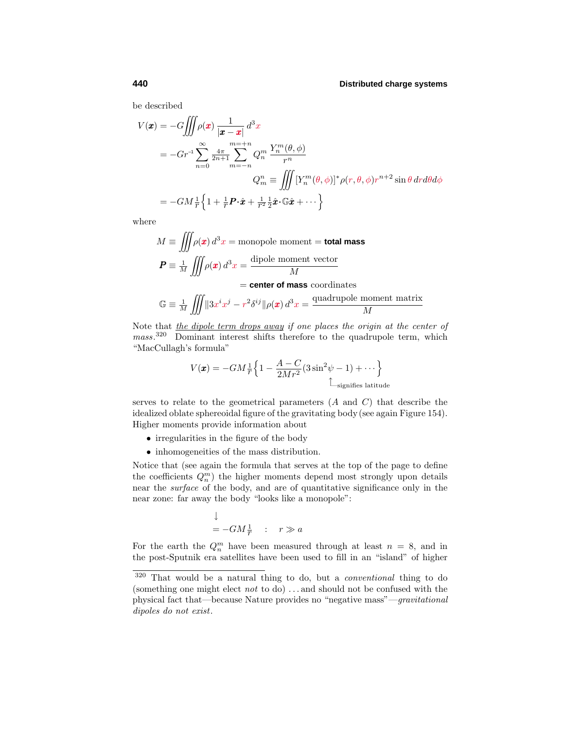be described

$$
V(\mathbf{x}) = -G \iiint \rho(\mathbf{x}) \frac{1}{|\mathbf{x} - \mathbf{x}|} d^3 x
$$
  
=  $-Gr^{-1} \sum_{n=0}^{\infty} \frac{4\pi}{2n+1} \sum_{m=-n}^{m=-n} Q_n^m \frac{Y_n^m(\theta, \phi)}{r^n}$   
 $Q_m^n \equiv \iiint \left[ Y_n^m(\theta, \phi) \right]^* \rho(r, \theta, \phi) r^{n+2} \sin \theta \, dr d\theta d\phi$   
=  $-GM \frac{1}{r} \left\{ 1 + \frac{1}{r} \mathbf{P} \cdot \hat{\mathbf{x}} + \frac{1}{r^2} \frac{1}{2} \hat{\mathbf{x}} \cdot \mathbb{G} \hat{\mathbf{x}} + \cdots \right\}$ 

where

$$
M \equiv \iiint \rho(\mathbf{x}) d^3 x = \text{monopole moment} = \text{total mass}
$$

$$
\mathbf{P} \equiv \frac{1}{M} \iiint \rho(\mathbf{x}) d^3 x = \frac{\text{dipole moment vector}}{M}
$$

$$
= \text{center of mass coordinates}
$$

$$
\mathbb{G} \equiv \frac{1}{M} \iiint \|3x^i x^j - r^2 \delta^{ij} \| \rho(\pmb{x}) d^3 x = \frac{\text{quadrupole moment matrix}}{M}
$$

Note that the dipole term drops away if one places the origin at the center of mass.<sup>320</sup> Dominant interest shifts therefore to the quadrupole term, which "MacCullagh's formula"

$$
V(\mathbf{x}) = -GM\frac{1}{r}\left\{1 - \frac{A-C}{2Mr^2}(3\sin^2\psi - 1) + \cdots\right\}
$$
  
Equifies latitude

serves to relate to the geometrical parameters (*A* and *C*) that describe the idealized oblate sphereoidal figure of the gravitating body(see again Figure 154). Higher moments provide information about

- irregularities in the figure of the body
- inhomogeneities of the mass distribution.

Notice that (see again the formula that serves at the top of the page to define the coefficients  $Q_n^m$ ) the higher moments depend most strongly upon details near the surface of the body, and are of quantitative significance only in the near zone: far away the body "looks like a monopole":

$$
\downarrow
$$
  
= -GM $\frac{1}{r}$  :  $r \gg a$ 

For the earth the  $Q_n^m$  have been measured through at least  $n = 8$ , and in the post-Sputnik era satellites have been used to fill in an "island" of higher

<sup>320</sup> That would be a natural thing to do, but a conventional thing to do (something one might elect not to do) *...* and should not be confused with the physical fact that—because Nature provides no "negative mass"—gravitational dipoles do not exist.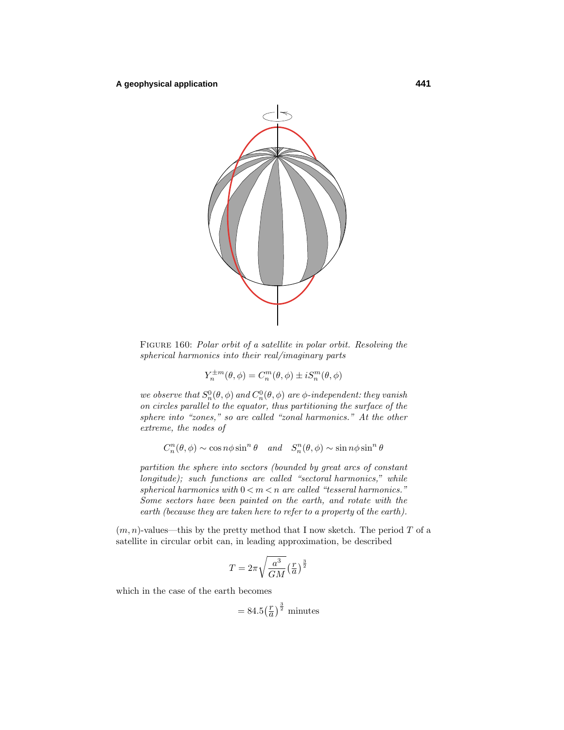

Figure 160: Polar orbit of a satellite in polar orbit. Resolving the spherical harmonics into their real/imaginary parts

$$
Y_n^{\pm m}(\theta,\phi) = C_n^m(\theta,\phi) \pm i S_n^m(\theta,\phi)
$$

we observe that  $S_n^0(\theta, \phi)$  and  $C_n^0(\theta, \phi)$  are  $\phi$ -independent: they vanish on circles parallel to the equator, thus partitioning the surface of the sphere into "zones," so are called "zonal harmonics." At the other extreme, the nodes of

 $C_n^n(\theta, \phi) \sim \cos n\phi \sin^n \theta$  and  $S_n^n(\theta, \phi) \sim \sin n\phi \sin^n \theta$ 

partition the sphere into sectors (bounded by great arcs of constant longitude); such functions are called "sectoral harmonics," while spherical harmonics with  $0 < m < n$  are called "tesseral harmonics." Some sectors have been painted on the earth, and rotate with the earth (because they are taken here to refer to a property of the earth).

 $(m, n)$ -values—this by the pretty method that I now sketch. The period T of a satellite in circular orbit can, in leading approximation, be described

$$
T = 2\pi \sqrt{\frac{a^3}{GM}} \left(\frac{r}{a}\right)^{\frac{3}{2}}
$$

which in the case of the earth becomes

$$
= 84.5 \left(\frac{r}{a}\right)^{\frac{3}{2}} \text{ minutes}
$$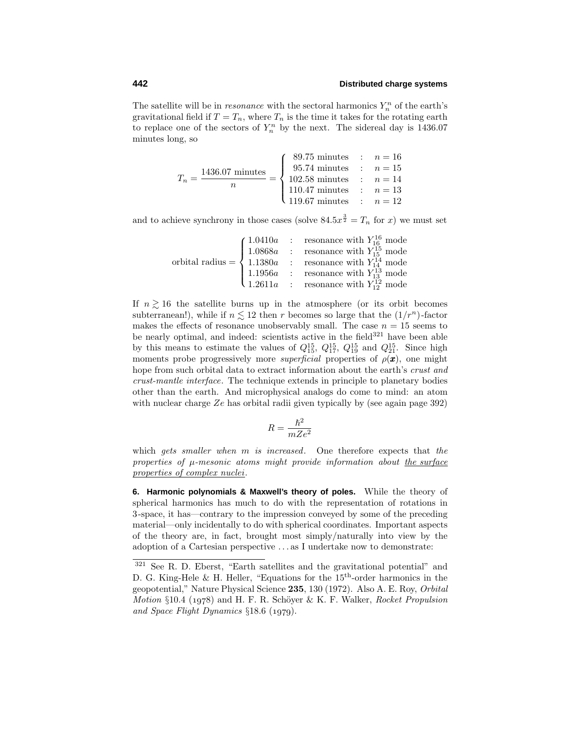The satellite will be in *resonance* with the sectoral harmonics  $Y_n^n$  of the earth's gravitational field if  $T = T_n$ , where  $T_n$  is the time it takes for the rotating earth to replace one of the sectors of  $Y_n^n$  by the next. The sidereal day is 1436.07 minutes long, so

$$
T_n = \frac{1436.07 \text{ minutes}}{n} = \begin{cases} 89.75 \text{ minutes} & : & n = 16 \\ 95.74 \text{ minutes} & : & n = 15 \\ 102.58 \text{ minutes} & : & n = 14 \\ 110.47 \text{ minutes} & : & n = 13 \\ 119.67 \text{ minutes} & : & n = 12 \end{cases}
$$

and to achieve synchrony in those cases (solve  $84.5x^{\frac{3}{2}} = T_n$  for *x*) we must set

| $\text{orbital radius} = \left\{ \begin{array}{lcl} 1.0410a & : & \text{resonance with } Y_{16}^{16} \text{ mode} \\ 1.0868a & : & \text{resonance with } Y_{15}^{15} \text{ mode} \\ 1.1380a & : & \text{resonance with } Y_{14}^{14} \text{ mode} \end{array} \right.$ |
|--------------------------------------------------------------------------------------------------------------------------------------------------------------------------------------------------------------------------------------------------------------------------|
|                                                                                                                                                                                                                                                                          |
| 1.1956a : resonance with $Y_{13}^{13}$ mode<br>1.2611a : resonance with $Y_{12}^{13}$ mode                                                                                                                                                                               |
|                                                                                                                                                                                                                                                                          |

If  $n \geq 16$  the satellite burns up in the atmosphere (or its orbit becomes subterranean!), while if  $n \leq 12$  then *r* becomes so large that the  $(1/r^n)$ -factor makes the effects of resonance unobservably small. The case  $n = 15$  seems to be nearly optimal, and indeed: scientists active in the field<sup>321</sup> have been able by this means to estimate the values of  $Q_{15}^{15}$ ,  $Q_{17}^{15}$ ,  $Q_{19}^{15}$  and  $Q_{21}^{15}$ . Since high moments probe progressively more *superficial* properties of  $\rho(\boldsymbol{x})$ , one might hope from such orbital data to extract information about the earth's crust and crust-mantle interface. The technique extends in principle to planetary bodies other than the earth. And microphysical analogs do come to mind: an atom with nuclear charge *Ze* has orbital radii given typically by (see again page 392)

$$
R = \frac{\hbar^2}{mZe^2}
$$

which gets smaller when *m* is increased. One therefore expects that the properties of  $\mu$ -mesonic atoms might provide information about the surface properties of complex nuclei.

**6. Harmonic polynomials & Maxwell's theory of poles.** While the theory of spherical harmonics has much to do with the representation of rotations in 3-space, it has—contrary to the impression conveyed by some of the preceding material—only incidentally to do with spherical coordinates. Important aspects of the theory are, in fact, brought most simply/naturally into view by the adoption of a Cartesian perspective *...* as I undertake now to demonstrate:

<sup>321</sup> See R. D. Eberst, "Earth satellites and the gravitational potential" and D. G. King-Hele & H. Heller, "Equations for the  $15<sup>th</sup>$ -order harmonics in the geopotential," Nature Physical Science **235**, 130 (1972). Also A. E. Roy, Orbital *Motion* §10.4 (1978) and H. F. R. Schöver & K. F. Walker, Rocket Propulsion and Space Flight Dynamics  $\S 18.6$  (1979).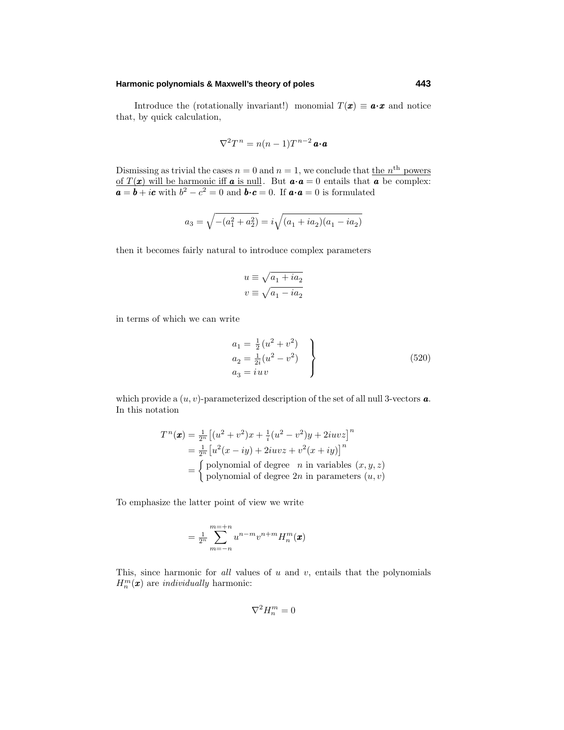### **Harmonic polynomials & Maxwell's theory of poles 443**

Introduce the (rotationally invariant!) monomial  $T(x) \equiv a \cdot x$  and notice that, by quick calculation,

$$
\nabla^2 T^n = n(n-1)T^{n-2} \mathbf{a} \cdot \mathbf{a}
$$

Dismissing as trivial the cases  $n = 0$  and  $n = 1$ , we conclude that the *n*<sup>th</sup> powers of  $T(x)$  will be harmonic iff **a** is null. But  $a \cdot a = 0$  entails that **a** be complex:  $a = b + ic$  with  $b^2 - c^2 = 0$  and  $b \cdot c = 0$ . If  $a \cdot a = 0$  is formulated

$$
a_3 = \sqrt{-(a_1^2 + a_2^2)} = i\sqrt{(a_1 + ia_2)(a_1 - ia_2)}
$$

then it becomes fairly natural to introduce complex parameters

$$
\begin{split} u &\equiv \sqrt{a_1+ia_2}\\ v &\equiv \sqrt{a_1-ia_2} \end{split}
$$

in terms of which we can write

$$
a_1 = \frac{1}{2} (u^2 + v^2) \n a_2 = \frac{1}{2i} (u^2 - v^2) \n a_3 = iuv
$$
\n(520)

which provide a  $(u, v)$ -parameterized description of the set of all null 3-vectors **a**. In this notation

$$
T^n(\mathbf{x}) = \frac{1}{2^n} \left[ (u^2 + v^2)x + \frac{1}{i}(u^2 - v^2)y + 2iuvz \right]^n
$$
  
=  $\frac{1}{2^n} \left[ u^2(x - iy) + 2iuvz + v^2(x + iy) \right]^n$   
=  $\begin{cases} \text{polynomial of degree } n \text{ in variables } (x, y, z) \\ \text{polynomial of degree } 2n \text{ in parameters } (u, v) \end{cases}$ 

To emphasize the latter point of view we write

$$
= \frac{1}{2^n} \sum_{m=-n}^{m=+n} u^{n-m} v^{n+m} H_n^m(\pmb{x})
$$

This, since harmonic for all values of *u* and *v*, entails that the polynomials  $H_n^m(\boldsymbol{x})$  are *individually* harmonic:

$$
\nabla^2 H_n^m = 0
$$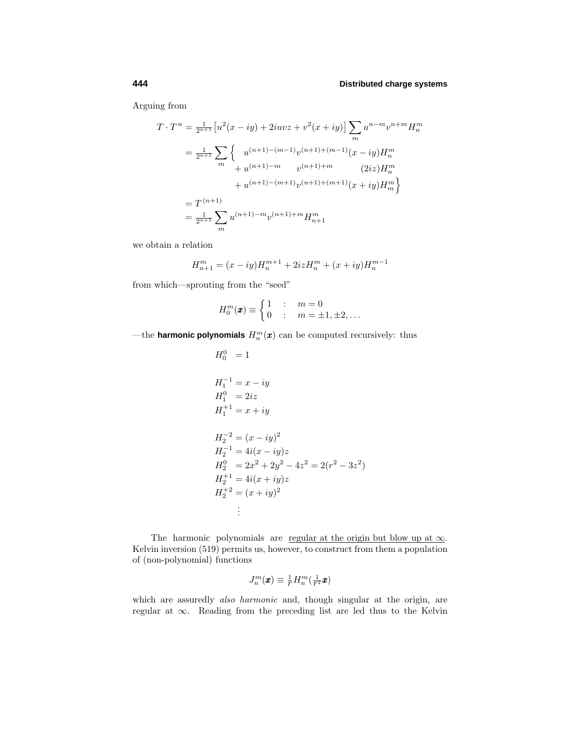Arguing from

$$
T \cdot T^n = \frac{1}{2^{n+1}} \left[ u^2(x - iy) + 2iuvz + v^2(x + iy) \right] \sum_m u^{n-m} v^{n+m} H_n^m
$$
  
\n
$$
= \frac{1}{2^{n+1}} \sum_m \left\{ u^{(n+1)-(m-1)} v^{(n+1)+(m-1)} (x - iy) H_n^m + u^{(n+1)-(m-1)} v^{(n+1)+m} (2iz) H_n^m + u^{(n+1)-(m+1)} v^{(n+1)+(m+1)} (x + iy) H_m^m \right\}
$$
  
\n
$$
= T^{(n+1)} \sum_m u^{(n+1)-m} v^{(n+1)+m} H_{n+1}^m
$$

we obtain a relation

$$
H_{n+1}^m = (x - iy)H_n^{m+1} + 2izH_n^m + (x + iy)H_n^{m-1}
$$

from which—sprouting from the "seed"

$$
H_0^m(\pmb x) \equiv \begin{cases} 1 & \colon & m = 0 \\ 0 & \colon & m = \pm 1, \pm 2, \dots \end{cases}
$$

—the **harmonic polynomials**  $H_n^m(\boldsymbol{x})$  can be computed recursively: thus

$$
H_0^0 = 1
$$
  
\n
$$
H_1^{-1} = x - iy
$$
  
\n
$$
H_1^0 = 2iz
$$
  
\n
$$
H_1^{+1} = x + iy
$$
  
\n
$$
H_2^{-2} = (x - iy)^2
$$
  
\n
$$
H_2^{-1} = 4i(x - iy)z
$$
  
\n
$$
H_2^0 = 2x^2 + 2y^2 - 4z^2 = 2(r^2 - 3z^2)
$$
  
\n
$$
H_2^{+1} = 4i(x + iy)z
$$
  
\n
$$
H_2^{+2} = (x + iy)^2
$$
  
\n
$$
\vdots
$$

The harmonic polynomials are regular at the origin but blow up at  $\infty$ . Kelvin inversion (519) permits us, however, to construct from them a population of (non-polynomial) functions

$$
J_n^m(\pmb x) \equiv \tfrac{1}{r} H_n^m(\tfrac{1}{r^2}\pmb x)
$$

which are assuredly *also harmonic* and, though singular at the origin, are regular at ∞. Reading from the preceding list are led thus to the Kelvin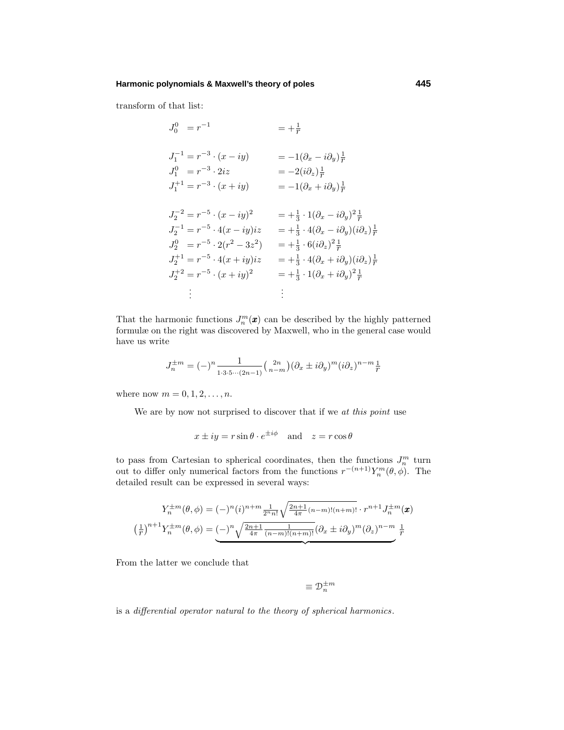### **Harmonic polynomials & Maxwell's theory of poles 445**

transform of that list:

$$
J_0^0 = r^{-1} = +\frac{1}{r}
$$
  
\n
$$
J_1^{-1} = r^{-3} \cdot (x - iy) = -1(\partial_x - i\partial_y)\frac{1}{r}
$$
  
\n
$$
J_1^0 = r^{-3} \cdot 2iz = -2(i\partial_z)\frac{1}{r}
$$
  
\n
$$
J_1^{+1} = r^{-3} \cdot (x + iy) = -1(\partial_x + i\partial_y)\frac{1}{r}
$$
  
\n
$$
J_2^{-2} = r^{-5} \cdot (x - iy)^2 = +\frac{1}{3} \cdot 1(\partial_x - i\partial_y)^2 \frac{1}{r}
$$
  
\n
$$
J_2^{-1} = r^{-5} \cdot 4(x - iy)iz = +\frac{1}{3} \cdot 4(\partial_x - i\partial_y)(i\partial_z)\frac{1}{r}
$$
  
\n
$$
J_2^0 = r^{-5} \cdot 2(r^2 - 3z^2) = +\frac{1}{3} \cdot 6(i\partial_z)^2 \frac{1}{r}
$$
  
\n
$$
J_2^{+1} = r^{-5} \cdot 4(x + iy)iz = +\frac{1}{3} \cdot 4(\partial_x + i\partial_y)(i\partial_z)\frac{1}{r}
$$
  
\n
$$
J_2^{+2} = r^{-5} \cdot (x + iy)^2 = +\frac{1}{3} \cdot 1(\partial_x + i\partial_y)^2 \frac{1}{r}
$$
  
\n
$$
\vdots
$$
  
\n
$$
\vdots
$$

That the harmonic functions  $J_n^m(\mathbf{x})$  can be described by the highly patterned formulæ on the right was discovered by Maxwell, who in the general case would have us write

$$
J_n^{\pm m} = (-)^n \frac{1}{1 \cdot 3 \cdot 5 \cdots (2n-1)} {2n \choose n-m} (\partial_x \pm i \partial_y)^m (i \partial_z)^{n-m} \frac{1}{r}
$$

where now  $m = 0, 1, 2, ..., n$ .

We are by now not surprised to discover that if we at this point use

$$
x \pm iy = r \sin \theta \cdot e^{\pm i\phi} \quad \text{and} \quad z = r \cos \theta
$$

to pass from Cartesian to spherical coordinates, then the functions  $J_n^m$  turn out to differ only numerical factors from the functions  $r^{-(n+1)}Y_n^m(\theta, \phi)$ . The detailed result can be expressed in several ways:

$$
Y_n^{\pm m}(\theta,\phi) = (-)^n (i)^{n+m} \frac{1}{2^n n!} \sqrt{\frac{2n+1}{4\pi} (n-m)!(n+m)!} \cdot r^{n+1} J_n^{\pm m}(\boldsymbol{x})
$$

$$
\left(\frac{1}{r}\right)^{n+1} Y_n^{\pm m}(\theta,\phi) = (-)^n \sqrt{\frac{2n+1}{4\pi} \frac{1}{(n-m)!(n+m)!}} (\partial_x \pm i \partial_y)^m (\partial_z)^{n-m} \frac{1}{r}
$$

From the latter we conclude that

$$
\equiv \mathfrak{D}_n^{\pm m}
$$

is a differential operator natural to the theory of spherical harmonics.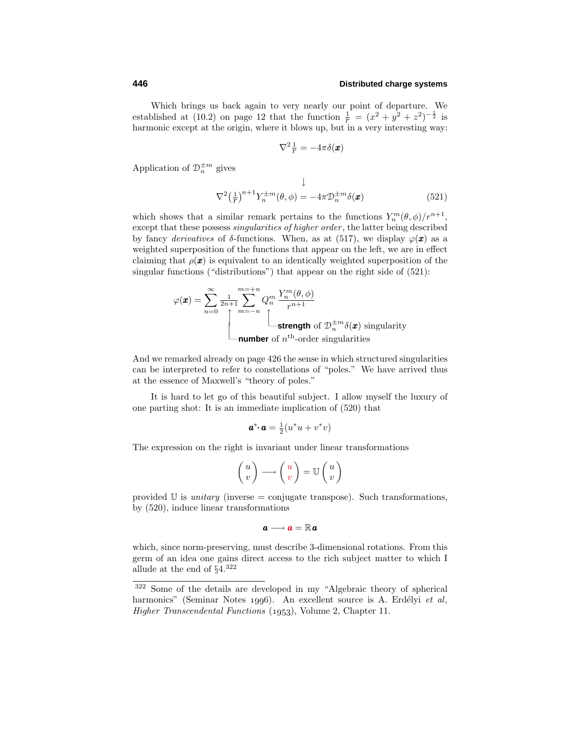Which brings us back again to very nearly our point of departure. We established at (10.2) on page 12 that the function  $\frac{1}{r} = (x^2 + y^2 + z^2)^{-\frac{1}{2}}$  is harmonic except at the origin, where it blows up, but in a very interesting way:

$$
\nabla^2 \frac{1}{r} = -4\pi \delta(\boldsymbol{x})
$$

Application of  $\mathcal{D}_n^{\pm m}$  gives

$$
\nabla^2 \left(\frac{1}{T}\right)^{n+1} Y_n^{\pm m}(\theta, \phi) = -4\pi \mathcal{D}_n^{\pm m} \delta(\pmb{x}) \tag{521}
$$

which shows that a similar remark pertains to the functions  $Y_n^m(\theta, \phi)/r^{n+1}$ , except that these possess singularities of higher order, the latter being described by fancy *derivatives* of *δ*-functions. When, as at (517), we display  $\varphi(\mathbf{x})$  as a weighted superposition of the functions that appear on the left, we are in effect claiming that  $\rho(x)$  is equivalent to an identically weighted superposition of the singular functions ("distributions") that appear on the right side of (521):

$$
\varphi(\mathbf{x}) = \sum_{n=0}^{\infty} \frac{1}{2n+1} \sum_{m=-n}^{m=-n} Q_n^m \frac{Y_n^m(\theta, \phi)}{r^{n+1}}
$$
  
 **strength** of  $\mathcal{D}_n^{\pm m} \delta(\mathbf{x})$  singularity  
**number** of  $n^{\text{th}}$ -order singularities

And we remarked already on page 426 the sense in which structured singularities can be interpreted to refer to constellations of "poles." We have arrived thus at the essence of Maxwell's "theory of poles."

It is hard to let go of this beautiful subject. I allow myself the luxury of one parting shot: It is an immediate implication of (520) that

$$
\mathbf{a}^* \cdot \mathbf{a} = \frac{1}{2}(u^*u + v^*v)
$$

The expression on the right is invariant under linear transformations

$$
\begin{pmatrix} u \\ v \end{pmatrix} \longrightarrow \begin{pmatrix} u \\ v \end{pmatrix} = \mathbb{U} \begin{pmatrix} u \\ v \end{pmatrix}
$$

provided  $\mathbb U$  is *unitary* (inverse = conjugate transpose). Such transformations, by (520), induce linear transformations

$$
\boldsymbol{a}\longrightarrow\boldsymbol{a}=\mathbb{R}\boldsymbol{a}
$$

which, since norm-preserving, must describe 3-dimensional rotations. From this germ of an idea one gains direct access to the rich subject matter to which I allude at the end of  $\S 4^{322}$ 

<sup>322</sup> Some of the details are developed in my "Algebraic theory of spherical harmonics" (Seminar Notes 1996). An excellent source is A. Erdélyi et al, *Higher Transcendental Functions* (1953), Volume 2, Chapter 11.